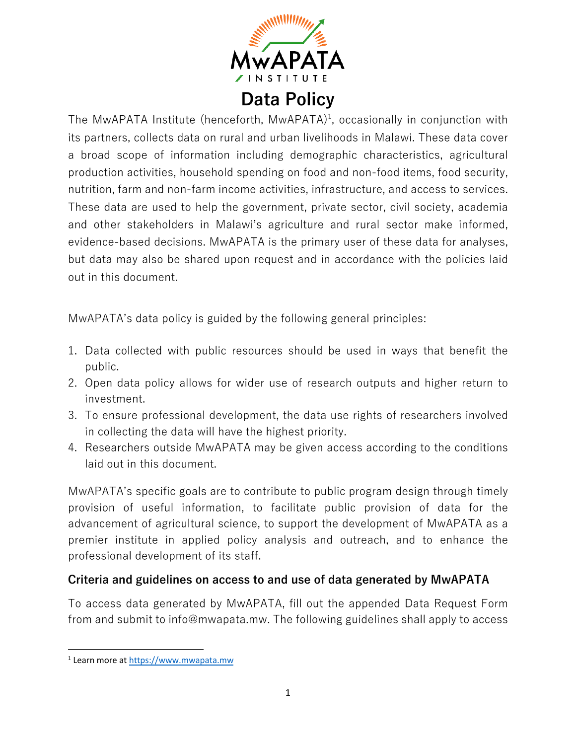

## **Data Policy**

The MwAPATA Institute (henceforth,  $MwAPATA$ )<sup>1</sup>, occasionally in conjunction with its partners, collects data on rural and urban livelihoods in Malawi. These data cover a broad scope of information including demographic characteristics, agricultural production activities, household spending on food and non-food items, food security, nutrition, farm and non-farm income activities, infrastructure, and access to services. These data are used to help the government, private sector, civil society, academia and other stakeholders in Malawi's agriculture and rural sector make informed, evidence-based decisions. MwAPATA is the primary user of these data for analyses, but data may also be shared upon request and in accordance with the policies laid out in this document.

MwAPATA's data policy is guided by the following general principles:

- 1. Data collected with public resources should be used in ways that benefit the public.
- 2. Open data policy allows for wider use of research outputs and higher return to investment.
- 3. To ensure professional development, the data use rights of researchers involved in collecting the data will have the highest priority.
- 4. Researchers outside MwAPATA may be given access according to the conditions laid out in this document.

MwAPATA's specific goals are to contribute to public program design through timely provision of useful information, to facilitate public provision of data for the advancement of agricultural science, to support the development of MwAPATA as a premier institute in applied policy analysis and outreach, and to enhance the professional development of its staff.

## **Criteria and guidelines on access to and use of data generated by MwAPATA**

To access data generated by MwAPATA, fill out the appended Data Request Form from and submit to info@mwapata.mw. The following guidelines shall apply to access

<sup>1</sup> Learn more at https://www.mwapata.mw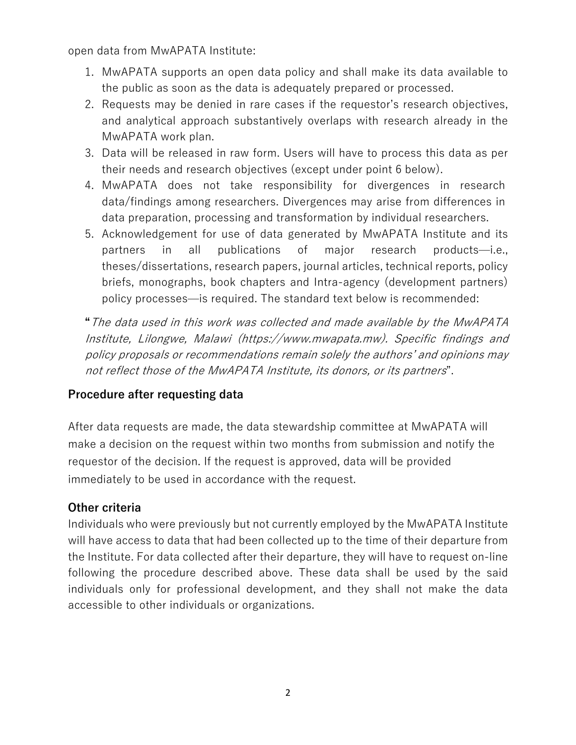open data from MwAPATA Institute:

- 1. MwAPATA supports an open data policy and shall make its data available to the public as soon as the data is adequately prepared or processed.
- 2. Requests may be denied in rare cases if the requestor's research objectives, and analytical approach substantively overlaps with research already in the MwAPATA work plan.
- 3. Data will be released in raw form. Users will have to process this data as per their needs and research objectives (except under point 6 below).
- 4. MwAPATA does not take responsibility for divergences in research data/findings among researchers. Divergences may arise from differences in data preparation, processing and transformation by individual researchers.
- 5. Acknowledgement for use of data generated by MwAPATA Institute and its partners in all publications of major research products̶i.e., theses/dissertations, research papers, journal articles, technical reports, policy briefs, monographs, book chapters and Intra-agency (development partners) policy processes̶is required. The standard text below is recommended:

**"**The data used in this work was collected and made available by the MwAPATA Institute, Lilongwe, Malawi (https://www.mwapata.mw). Specific findings and policy proposals or recommendations remain solely the authors' and opinions may not reflect those of the MwAPATA Institute, its donors, or its partners".

## **Procedure after requesting data**

After data requests are made, the data stewardship committee at MwAPATA will make a decision on the request within two months from submission and notify the requestor of the decision. If the request is approved, data will be provided immediately to be used in accordance with the request.

## **Other criteria**

Individuals who were previously but not currently employed by the MwAPATA Institute will have access to data that had been collected up to the time of their departure from the Institute. For data collected after their departure, they will have to request on-line following the procedure described above. These data shall be used by the said individuals only for professional development, and they shall not make the data accessible to other individuals or organizations.